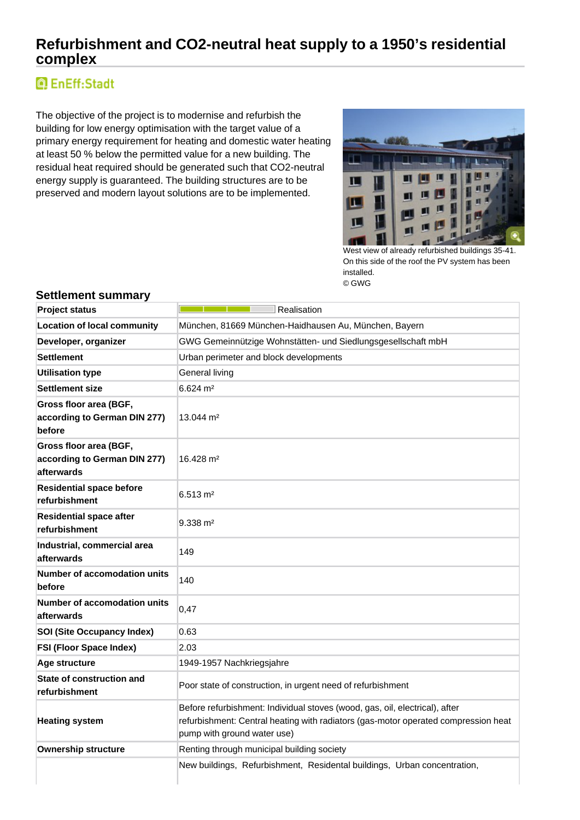## **Refurbishment and CO2-neutral heat supply to a 1950's residential complex**

# **Q** EnEff:Stadt

The objective of the project is to modernise and refurbish the building for low energy optimisation with the target value of a primary energy requirement for heating and domestic water heating at least 50 % below the permitted value for a new building. The residual heat required should be generated such that CO2-neutral energy supply is guaranteed. The building structures are to be preserved and modern layout solutions are to be implemented.



West view of already refurbished buildings 35-41. On this side of the roof the PV system has been installed. © GWG

| <b>Project status</b>                                                | Realisation                                                                                                                                                                                      |  |  |  |  |
|----------------------------------------------------------------------|--------------------------------------------------------------------------------------------------------------------------------------------------------------------------------------------------|--|--|--|--|
| <b>Location of local community</b>                                   | München, 81669 München-Haidhausen Au, München, Bayern                                                                                                                                            |  |  |  |  |
| Developer, organizer                                                 | GWG Gemeinnützige Wohnstätten- und Siedlungsgesellschaft mbH                                                                                                                                     |  |  |  |  |
| <b>Settlement</b>                                                    | Urban perimeter and block developments                                                                                                                                                           |  |  |  |  |
| <b>Utilisation type</b>                                              | General living                                                                                                                                                                                   |  |  |  |  |
| <b>Settlement size</b>                                               | $6.624 \; \text{m}^2$                                                                                                                                                                            |  |  |  |  |
| Gross floor area (BGF,<br>according to German DIN 277)<br>before     | $13.044 \text{ m}^2$                                                                                                                                                                             |  |  |  |  |
| Gross floor area (BGF,<br>according to German DIN 277)<br>afterwards | 16.428 m <sup>2</sup>                                                                                                                                                                            |  |  |  |  |
| <b>Residential space before</b><br>refurbishment                     | $6.513 \text{ m}^2$                                                                                                                                                                              |  |  |  |  |
| <b>Residential space after</b><br>refurbishment                      | $9.338 \text{ m}^2$                                                                                                                                                                              |  |  |  |  |
| Industrial, commercial area<br>afterwards                            | 149                                                                                                                                                                                              |  |  |  |  |
| <b>Number of accomodation units</b><br>before                        | 140                                                                                                                                                                                              |  |  |  |  |
| Number of accomodation units<br>afterwards                           | 0,47                                                                                                                                                                                             |  |  |  |  |
| <b>SOI (Site Occupancy Index)</b>                                    | 0.63                                                                                                                                                                                             |  |  |  |  |
| <b>FSI (Floor Space Index)</b>                                       | 2.03                                                                                                                                                                                             |  |  |  |  |
| Age structure                                                        | 1949-1957 Nachkriegsjahre                                                                                                                                                                        |  |  |  |  |
| State of construction and<br>refurbishment                           | Poor state of construction, in urgent need of refurbishment                                                                                                                                      |  |  |  |  |
| <b>Heating system</b>                                                | Before refurbishment: Individual stoves (wood, gas, oil, electrical), after<br>refurbishment: Central heating with radiators (gas-motor operated compression heat<br>pump with ground water use) |  |  |  |  |
| <b>Ownership structure</b>                                           | Renting through municipal building society                                                                                                                                                       |  |  |  |  |
|                                                                      | New buildings, Refurbishment, Residental buildings, Urban concentration,                                                                                                                         |  |  |  |  |

### **Settlement summary**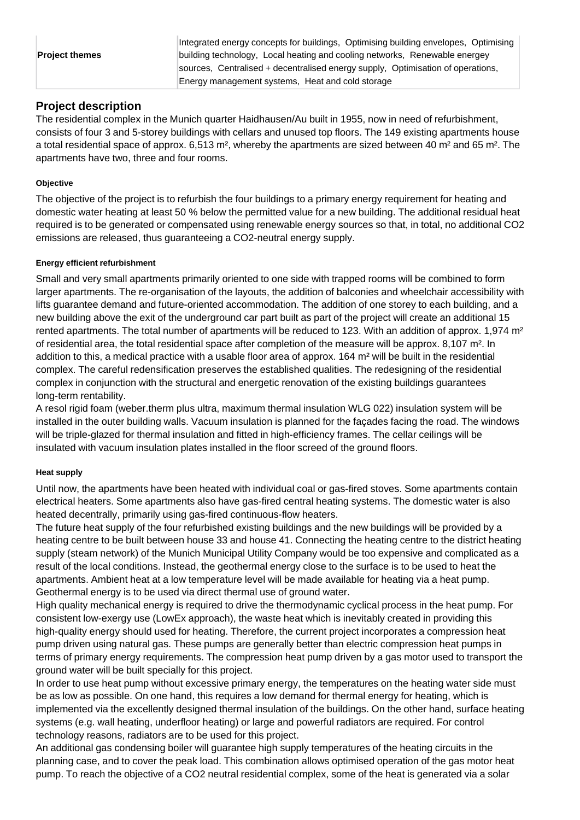| <b>Project themes</b> | building technology, Local heating and cooling networks, Renewable energey      |  |  |  |  |  |
|-----------------------|---------------------------------------------------------------------------------|--|--|--|--|--|
|                       | sources, Centralised + decentralised energy supply, Optimisation of operations, |  |  |  |  |  |
|                       | Energy management systems, Heat and cold storage                                |  |  |  |  |  |

## **Project description**

The residential complex in the Munich quarter Haidhausen/Au built in 1955, now in need of refurbishment, consists of four 3 and 5-storey buildings with cellars and unused top floors. The 149 existing apartments house a total residential space of approx. 6,513 m<sup>2</sup>, whereby the apartments are sized between 40 m<sup>2</sup> and 65 m<sup>2</sup>. The apartments have two, three and four rooms.

### **Objective**

The objective of the project is to refurbish the four buildings to a primary energy requirement for heating and domestic water heating at least 50 % below the permitted value for a new building. The additional residual heat required is to be generated or compensated using renewable energy sources so that, in total, no additional CO2 emissions are released, thus guaranteeing a CO2-neutral energy supply.

#### **Energy efficient refurbishment**

Small and very small apartments primarily oriented to one side with trapped rooms will be combined to form larger apartments. The re-organisation of the layouts, the addition of balconies and wheelchair accessibility with lifts guarantee demand and future-oriented accommodation. The addition of one storey to each building, and a new building above the exit of the underground car part built as part of the project will create an additional 15 rented apartments. The total number of apartments will be reduced to 123. With an addition of approx. 1,974 m<sup>2</sup> of residential area, the total residential space after completion of the measure will be approx. 8,107 m². In addition to this, a medical practice with a usable floor area of approx. 164 m² will be built in the residential complex. The careful redensification preserves the established qualities. The redesigning of the residential complex in conjunction with the structural and energetic renovation of the existing buildings guarantees long-term rentability.

A resol rigid foam (weber.therm plus ultra, maximum thermal insulation WLG 022) insulation system will be installed in the outer building walls. Vacuum insulation is planned for the façades facing the road. The windows will be triple-glazed for thermal insulation and fitted in high-efficiency frames. The cellar ceilings will be insulated with vacuum insulation plates installed in the floor screed of the ground floors.

#### **Heat supply**

Until now, the apartments have been heated with individual coal or gas-fired stoves. Some apartments contain electrical heaters. Some apartments also have gas-fired central heating systems. The domestic water is also heated decentrally, primarily using gas-fired continuous-flow heaters.

The future heat supply of the four refurbished existing buildings and the new buildings will be provided by a heating centre to be built between house 33 and house 41. Connecting the heating centre to the district heating supply (steam network) of the Munich Municipal Utility Company would be too expensive and complicated as a result of the local conditions. Instead, the geothermal energy close to the surface is to be used to heat the apartments. Ambient heat at a low temperature level will be made available for heating via a heat pump. Geothermal energy is to be used via direct thermal use of ground water.

High quality mechanical energy is required to drive the thermodynamic cyclical process in the heat pump. For consistent low-exergy use (LowEx approach), the waste heat which is inevitably created in providing this high-quality energy should used for heating. Therefore, the current project incorporates a compression heat pump driven using natural gas. These pumps are generally better than electric compression heat pumps in terms of primary energy requirements. The compression heat pump driven by a gas motor used to transport the ground water will be built specially for this project.

In order to use heat pump without excessive primary energy, the temperatures on the heating water side must be as low as possible. On one hand, this requires a low demand for thermal energy for heating, which is implemented via the excellently designed thermal insulation of the buildings. On the other hand, surface heating systems (e.g. wall heating, underfloor heating) or large and powerful radiators are required. For control technology reasons, radiators are to be used for this project.

An additional gas condensing boiler will guarantee high supply temperatures of the heating circuits in the planning case, and to cover the peak load. This combination allows optimised operation of the gas motor heat pump. To reach the objective of a CO2 neutral residential complex, some of the heat is generated via a solar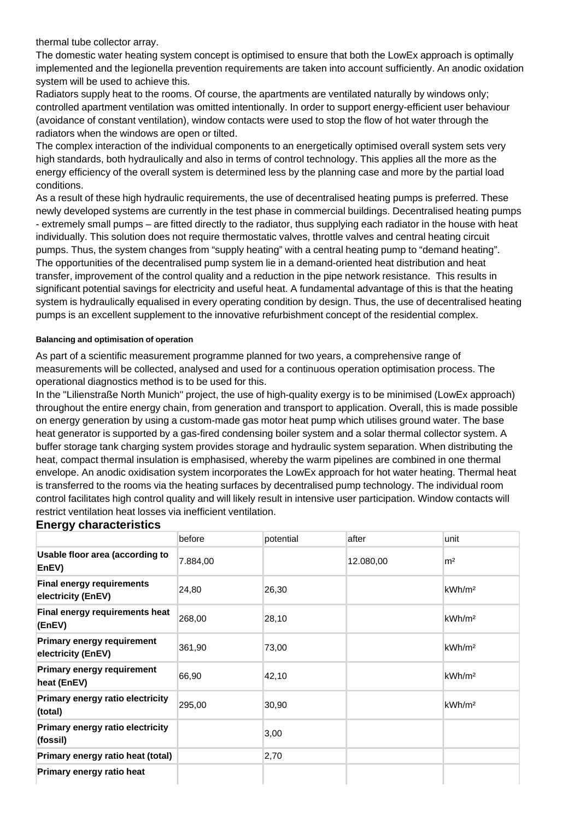The domestic water heating system concept is optimised to ensure that both the LowEx approach is optimally implemented and the legionella prevention requirements are taken into account sufficiently. An anodic oxidation system will be used to achieve this.

Radiators supply heat to the rooms. Of course, the apartments are ventilated naturally by windows only; controlled apartment ventilation was omitted intentionally. In order to support energy-efficient user behaviour (avoidance of constant ventilation), window contacts were used to stop the flow of hot water through the radiators when the windows are open or tilted.

The complex interaction of the individual components to an energetically optimised overall system sets very high standards, both hydraulically and also in terms of control technology. This applies all the more as the energy efficiency of the overall system is determined less by the planning case and more by the partial load conditions.

As a result of these high hydraulic requirements, the use of decentralised heating pumps is preferred. These newly developed systems are currently in the test phase in commercial buildings. Decentralised heating pumps - extremely small pumps – are fitted directly to the radiator, thus supplying each radiator in the house with heat individually. This solution does not require thermostatic valves, throttle valves and central heating circuit pumps. Thus, the system changes from "supply heating" with a central heating pump to "demand heating". The opportunities of the decentralised pump system lie in a demand-oriented heat distribution and heat transfer, improvement of the control quality and a reduction in the pipe network resistance. This results in significant potential savings for electricity and useful heat. A fundamental advantage of this is that the heating system is hydraulically equalised in every operating condition by design. Thus, the use of decentralised heating pumps is an excellent supplement to the innovative refurbishment concept of the residential complex.

#### **Balancing and optimisation of operation**

As part of a scientific measurement programme planned for two years, a comprehensive range of measurements will be collected, analysed and used for a continuous operation optimisation process. The operational diagnostics method is to be used for this.

In the "Lilienstraße North Munich" project, the use of high-quality exergy is to be minimised (LowEx approach) throughout the entire energy chain, from generation and transport to application. Overall, this is made possible on energy generation by using a custom-made gas motor heat pump which utilises ground water. The base heat generator is supported by a gas-fired condensing boiler system and a solar thermal collector system. A buffer storage tank charging system provides storage and hydraulic system separation. When distributing the heat, compact thermal insulation is emphasised, whereby the warm pipelines are combined in one thermal envelope. An anodic oxidisation system incorporates the LowEx approach for hot water heating. Thermal heat is transferred to the rooms via the heating surfaces by decentralised pump technology. The individual room control facilitates high control quality and will likely result in intensive user participation. Window contacts will restrict ventilation heat losses via inefficient ventilation.

#### **Energy characteristics**

|                                                         | before   | potential | after     | lunit              |
|---------------------------------------------------------|----------|-----------|-----------|--------------------|
| Usable floor area (according to<br>EnEV)                | 7.884,00 |           | 12.080,00 | m <sup>2</sup>     |
| <b>Final energy requirements</b><br>electricity (EnEV)  | 24,80    | 26,30     |           | kWh/m <sup>2</sup> |
| Final energy requirements heat<br>(EnEV)                | 268,00   | 28,10     |           | kWh/m <sup>2</sup> |
| <b>Primary energy requirement</b><br>electricity (EnEV) | 361,90   | 73,00     |           | kWh/m <sup>2</sup> |
| <b>Primary energy requirement</b><br>heat (EnEV)        | 66,90    | 42,10     |           | kWh/m <sup>2</sup> |
| Primary energy ratio electricity<br>(total)             | 295,00   | 30,90     |           | kWh/m <sup>2</sup> |
| Primary energy ratio electricity<br>(fossil)            |          | 3,00      |           |                    |
| Primary energy ratio heat (total)                       |          | 2,70      |           |                    |
| Primary energy ratio heat                               |          |           |           |                    |